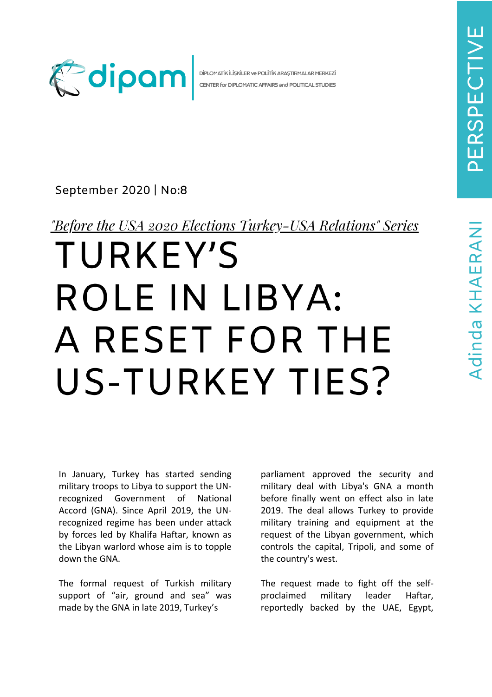Adinda KHAERANI



DİPLOMATİK İLİSKİLER VE POLİTİK ARASTIRMALAR MERKEZİ CENTER for DIPLOMATIC AFFAIRS and POLITICAL STUDIES

## September 2020 | No:8

"Before the USA 2020 Elections Turkey-USA Relations" Series

## TURKEY'S ROLE IN LIBYA: A RESET FOR THE US-TURKEY TIES?

In January, Turkey has started sending military troops to Libya to support the UNrecognized Government of National Accord (GNA). Since April 2019, the UNrecognized regime has been under attack by forces led by Khalifa Haftar, known as the Libyan warlord whose aim is to topple down the GNA.

The formal request of Turkish military support of "air, ground and sea" was made by the GNA in late 2019, Turkey's

parliament approved the security and military deal with Libya's GNA a month before finally went on effect also in late 2019. The deal allows Turkey to provide military training and equipment at the request of the Libyan government, which controls the capital, Tripoli, and some of the country's west.

The request made to fight off the selfproclaimed military leader Haftar, reportedly backed by the UAE, Egypt,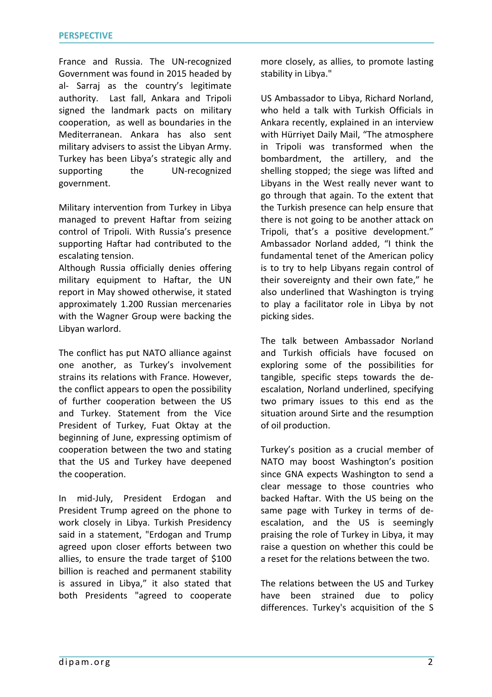France and Russia. The UN-recognized Government was found in 2015 headed by al- Sarraj as the country's legitimate authority. Last fall, Ankara and Tripoli signed the landmark pacts on military cooperation, as well as boundaries in the Mediterranean. Ankara has also sent military advisers to assist the Libyan Army. Turkey has been Libya's strategic ally and supporting the UN-recognized government.

Military intervention from Turkey in Libya managed to prevent Haftar from seizing control of Tripoli. With Russia's presence supporting Haftar had contributed to the escalating tension.

Although Russia officially denies offering military equipment to Haftar, the UN report in May showed otherwise, it stated approximately 1.200 Russian mercenaries with the Wagner Group were backing the Libyan warlord.

The conflict has put NATO alliance against one another, as Turkey's involvement strains its relations with France. However, the conflict appears to open the possibility of further cooperation between the US and Turkey. Statement from the Vice President of Turkey, Fuat Oktay at the beginning of June, expressing optimism of cooperation between the two and stating that the US and Turkey have deepened the cooperation.

In mid-July, President Erdogan and President Trump agreed on the phone to work closely in Libya. Turkish Presidency said in a statement, "Erdogan and Trump agreed upon closer efforts between two allies, to ensure the trade target of \$100 billion is reached and permanent stability is assured in Libya," it also stated that both Presidents "agreed to cooperate

more closely, as allies, to promote lasting stability in Libya."

US Ambassador to Libya, Richard Norland, who held a talk with Turkish Officials in Ankara recently, explained in an interview with Hürriyet Daily Mail, "The atmosphere in Tripoli was transformed when the bombardment, the artillery, and the shelling stopped; the siege was lifted and Libyans in the West really never want to go through that again. To the extent that the Turkish presence can help ensure that there is not going to be another attack on Tripoli, that's a positive development." Ambassador Norland added, "I think the fundamental tenet of the American policy is to try to help Libyans regain control of their sovereignty and their own fate," he also underlined that Washington is trying to play a facilitator role in Libya by not picking sides.

The talk between Ambassador Norland and Turkish officials have focused on exploring some of the possibilities for tangible, specific steps towards the deescalation, Norland underlined, specifying two primary issues to this end as the situation around Sirte and the resumption of oil production.

Turkey's position as a crucial member of NATO may boost Washington's position since GNA expects Washington to send a clear message to those countries who backed Haftar. With the US being on the same page with Turkey in terms of deescalation, and the US is seemingly praising the role of Turkey in Libya, it may raise a question on whether this could be a reset for the relations between the two.

The relations between the US and Turkey have been strained due to policy differences. Turkey's acquisition of the S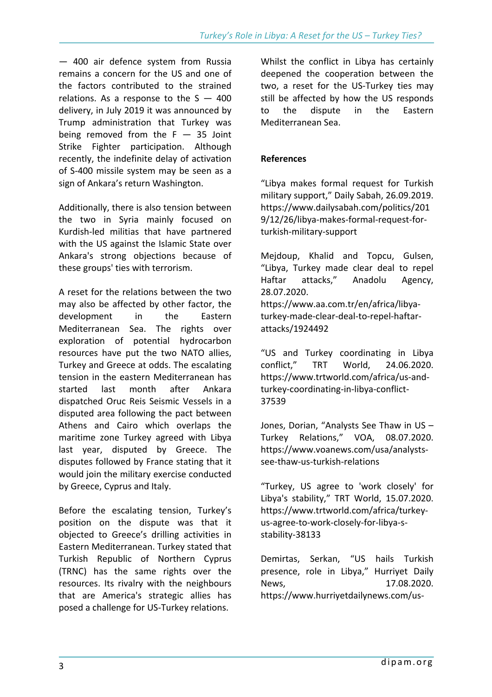— 400 air defence system from Russia remains a concern for the US and one of the factors contributed to the strained relations. As a response to the  $S - 400$ delivery, in July 2019 it was announced by Trump administration that Turkey was being removed from the  $F - 35$  Joint Strike Fighter participation. Although recently, the indefinite delay of activation of S-400 missile system may be seen as a sign of Ankara's return Washington.

Additionally, there is also tension between the two in Syria mainly focused on Kurdish-led militias that have partnered with the US against the Islamic State over Ankara's strong objections because of these groups' ties with terrorism.

A reset for the relations between the two may also be affected by other factor, the development in the Eastern Mediterranean Sea. The rights over exploration of potential hydrocarbon resources have put the two NATO allies, Turkey and Greece at odds. The escalating tension in the eastern Mediterranean has started last month after Ankara dispatched Oruc Reis Seismic Vessels in a disputed area following the pact between Athens and Cairo which overlaps the maritime zone Turkey agreed with Libya last year, disputed by Greece. The disputes followed by France stating that it would join the military exercise conducted by Greece, Cyprus and Italy.

Before the escalating tension, Turkey's position on the dispute was that it objected to Greece's drilling activities in Eastern Mediterranean. Turkey stated that Turkish Republic of Northern Cyprus (TRNC) has the same rights over the resources. Its rivalry with the neighbours that are America's strategic allies has posed a challenge for US-Turkey relations.

Whilst the conflict in Libya has certainly deepened the cooperation between the two, a reset for the US-Turkey ties may still be affected by how the US responds to the dispute in the Eastern Mediterranean Sea.

## **References**

"Libya makes formal request for Turkish military support," Daily Sabah, 26.09.2019. https://www.dailysabah.com/politics/201 9/12/26/libya-makes-formal-request-forturkish-military-support

Mejdoup, Khalid and Topcu, Gulsen, "Libya, Turkey made clear deal to repel Haftar attacks," Anadolu Agency, 28.07.2020. https://www.aa.com.tr/en/africa/libyaturkey-made-clear-deal-to-repel-haftarattacks/1924492

"US and Turkey coordinating in Libya conflict," TRT World, 24.06.2020. https://www.trtworld.com/africa/us-andturkey-coordinating-in-libya-conflict-37539

Jones, Dorian, "Analysts See Thaw in US – Turkey Relations," VOA, 08.07.2020. https://www.voanews.com/usa/analystssee-thaw-us-turkish-relations

"Turkey, US agree to 'work closely' for Libya's stability," TRT World, 15.07.2020. https://www.trtworld.com/africa/turkeyus-agree-to-work-closely-for-libya-sstability-38133

Demirtas, Serkan, "US hails Turkish presence, role in Libya," Hurriyet Daily News, 17.08.2020. https://www.hurriyetdailynews.com/us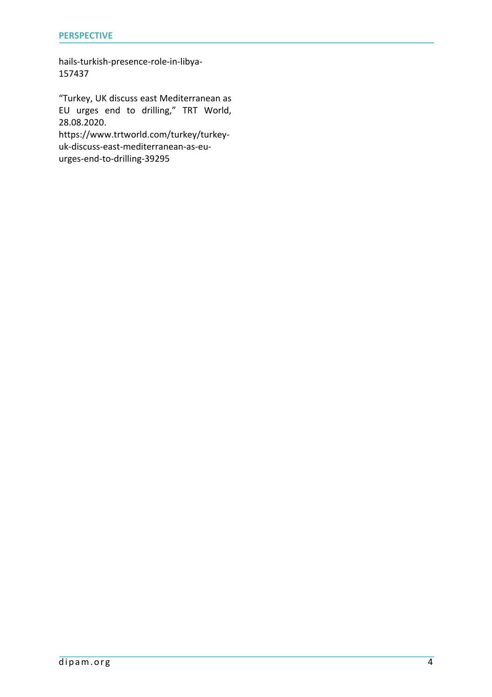hails-turkish-presence-role-in-libya-157437

"Turkey, UK discuss east Mediterranean as EU urges end to drilling," TRT World, 28.08.2020.

https://www.trtworld.com/turkey/turkeyuk-discuss-east-mediterranean-as-euurges-end-to-drilling-39295